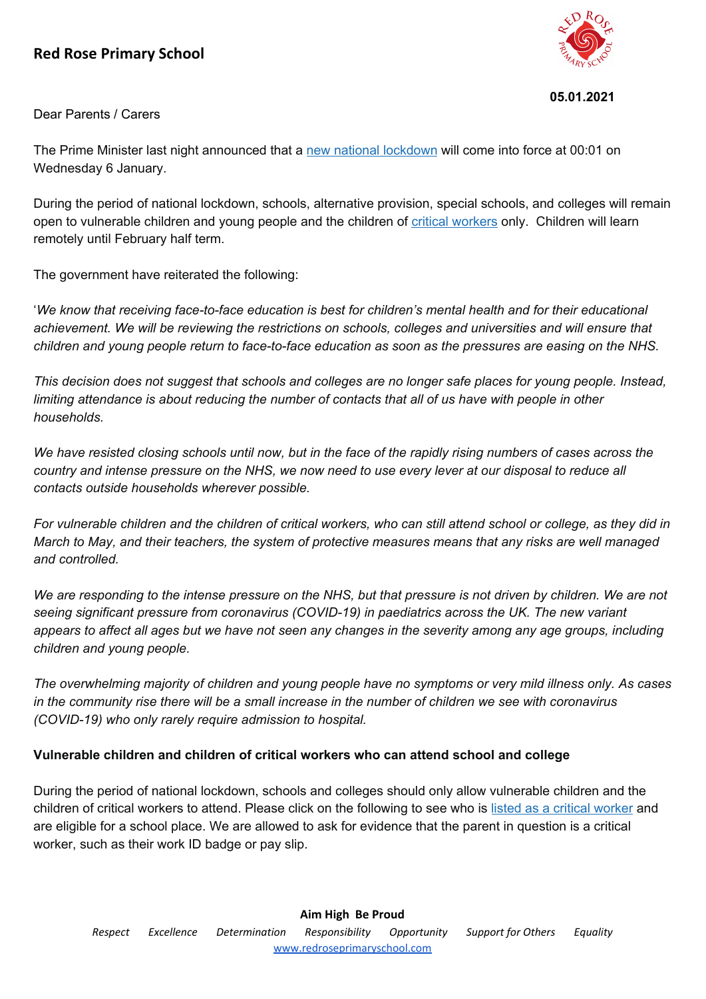## **Red Rose Primary School**



## **05.01.2021**

Dear Parents / Carers

The Prime Minister last night announced that a new national [lockdown](https://www.gov.uk/guidance/national-lockdown-stay-at-home?utm_source=4%20January%202021%20C19&utm_medium=Daily%20Email%20C19&utm_campaign=DfE%20C19#going-to-school-college-and-university) will come into force at 00:01 on Wednesday 6 January.

During the period of national lockdown, schools, alternative provision, special schools, and colleges will remain open to vulnerable children and young people and the children of critical [workers](https://www.gov.uk/government/publications/coronavirus-covid-19-maintaining-educational-provision?utm_source=4%20January%202021%20C19&utm_medium=Daily%20Email%20C19&utm_campaign=DfE%20C19) only. Children will learn remotely until February half term.

The government have reiterated the following:

'*We know that receiving face-to-face education is best for children's mental health and for their educational achievement. We will be reviewing the restrictions on schools, colleges and universities and will ensure that* children and young people return to face-to-face education as soon as the pressures are easing on the NHS.

This decision does not suggest that schools and colleges are no longer safe places for young people. Instead, limiting attendance is about reducing the number of contacts that all of us have with people in other *households.*

We have resisted closing schools until now, but in the face of the rapidly rising numbers of cases across the country and intense pressure on the NHS, we now need to use every lever at our disposal to reduce all *contacts outside households wherever possible.*

For vulnerable children and the children of critical workers, who can still attend school or college, as they did in March to May, and their teachers, the system of protective measures means that any risks are well managed *and controlled.*

We are responding to the intense pressure on the NHS, but that pressure is not driven by children. We are not *seeing significant pressure from coronavirus (COVID-19) in paediatrics across the UK. The new variant* appears to affect all ages but we have not seen any changes in the severity among any age groups, including *children and young people.*

The overwhelming majority of children and young people have no symptoms or very mild illness only. As cases in the community rise there will be a small increase in the number of children we see with coronavirus *(COVID-19) who only rarely require admission to hospital.*

## **Vulnerable children and children of critical workers who can attend school and college**

During the period of national lockdown, schools and colleges should only allow vulnerable children and the children of critical workers to attend. Please click on the following to see who is listed as a critical [worker](https://www.gov.uk/government/publications/coronavirus-covid-19-maintaining-educational-provision/guidance-for-schools-colleges-and-local-authorities-on-maintaining-educational-provision?utm_source=4%20January%202021%20C19&utm_medium=Daily%20Email%20C19&utm_campaign=DfE%20C19) and are eligible for a school place. We are allowed to ask for evidence that the parent in question is a critical worker, such as their work ID badge or pay slip.